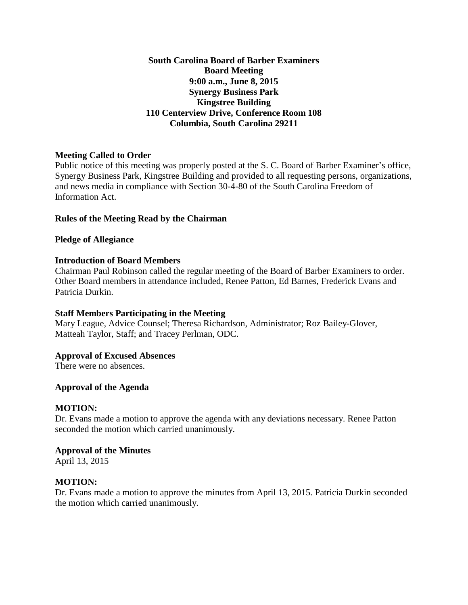**South Carolina Board of Barber Examiners Board Meeting 9:00 a.m., June 8, 2015 Synergy Business Park Kingstree Building 110 Centerview Drive, Conference Room 108 Columbia, South Carolina 29211**

## **Meeting Called to Order**

Public notice of this meeting was properly posted at the S. C. Board of Barber Examiner's office, Synergy Business Park, Kingstree Building and provided to all requesting persons, organizations, and news media in compliance with Section 30-4-80 of the South Carolina Freedom of Information Act.

## **Rules of the Meeting Read by the Chairman**

#### **Pledge of Allegiance**

## **Introduction of Board Members**

Chairman Paul Robinson called the regular meeting of the Board of Barber Examiners to order. Other Board members in attendance included, Renee Patton, Ed Barnes, Frederick Evans and Patricia Durkin.

#### **Staff Members Participating in the Meeting**

Mary League, Advice Counsel; Theresa Richardson, Administrator; Roz Bailey-Glover, Matteah Taylor, Staff; and Tracey Perlman, ODC.

#### **Approval of Excused Absences**

There were no absences.

#### **Approval of the Agenda**

#### **MOTION:**

Dr. Evans made a motion to approve the agenda with any deviations necessary. Renee Patton seconded the motion which carried unanimously.

#### **Approval of the Minutes**

April 13, 2015

#### **MOTION:**

Dr. Evans made a motion to approve the minutes from April 13, 2015. Patricia Durkin seconded the motion which carried unanimously.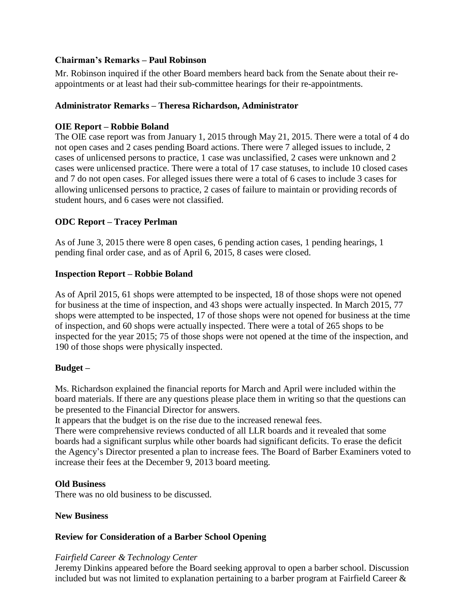## **Chairman's Remarks – Paul Robinson**

Mr. Robinson inquired if the other Board members heard back from the Senate about their reappointments or at least had their sub-committee hearings for their re-appointments.

## **Administrator Remarks – Theresa Richardson, Administrator**

## **OIE Report – Robbie Boland**

The OIE case report was from January 1, 2015 through May 21, 2015. There were a total of 4 do not open cases and 2 cases pending Board actions. There were 7 alleged issues to include, 2 cases of unlicensed persons to practice, 1 case was unclassified, 2 cases were unknown and 2 cases were unlicensed practice. There were a total of 17 case statuses, to include 10 closed cases and 7 do not open cases. For alleged issues there were a total of 6 cases to include 3 cases for allowing unlicensed persons to practice, 2 cases of failure to maintain or providing records of student hours, and 6 cases were not classified.

## **ODC Report – Tracey Perlman**

As of June 3, 2015 there were 8 open cases, 6 pending action cases, 1 pending hearings, 1 pending final order case, and as of April 6, 2015, 8 cases were closed.

#### **Inspection Report – Robbie Boland**

As of April 2015, 61 shops were attempted to be inspected, 18 of those shops were not opened for business at the time of inspection, and 43 shops were actually inspected. In March 2015, 77 shops were attempted to be inspected, 17 of those shops were not opened for business at the time of inspection, and 60 shops were actually inspected. There were a total of 265 shops to be inspected for the year 2015; 75 of those shops were not opened at the time of the inspection, and 190 of those shops were physically inspected.

## **Budget –**

Ms. Richardson explained the financial reports for March and April were included within the board materials. If there are any questions please place them in writing so that the questions can be presented to the Financial Director for answers.

It appears that the budget is on the rise due to the increased renewal fees.

There were comprehensive reviews conducted of all LLR boards and it revealed that some boards had a significant surplus while other boards had significant deficits. To erase the deficit the Agency's Director presented a plan to increase fees. The Board of Barber Examiners voted to increase their fees at the December 9, 2013 board meeting.

#### **Old Business**

There was no old business to be discussed.

#### **New Business**

#### **Review for Consideration of a Barber School Opening**

#### *Fairfield Career & Technology Center*

Jeremy Dinkins appeared before the Board seeking approval to open a barber school. Discussion included but was not limited to explanation pertaining to a barber program at Fairfield Career &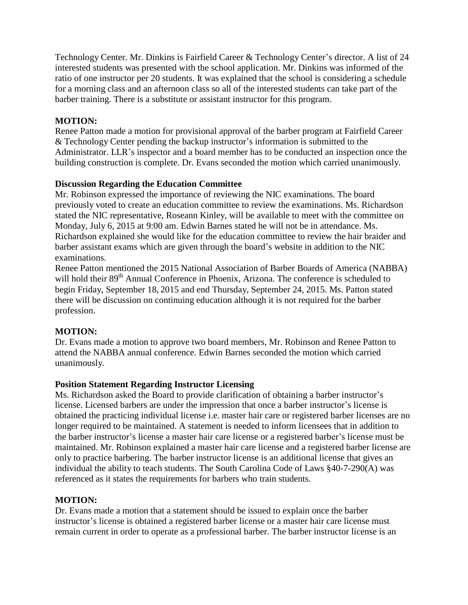Technology Center. Mr. Dinkins is Fairfield Career & Technology Center's director. A list of 24 interested students was presented with the school application. Mr. Dinkins was informed of the ratio of one instructor per 20 students. It was explained that the school is considering a schedule for a morning class and an afternoon class so all of the interested students can take part of the barber training. There is a substitute or assistant instructor for this program.

# **MOTION:**

Renee Patton made a motion for provisional approval of the barber program at Fairfield Career & Technology Center pending the backup instructor's information is submitted to the Administrator. LLR's inspector and a board member has to be conducted an inspection once the building construction is complete. Dr. Evans seconded the motion which carried unanimously.

## **Discussion Regarding the Education Committee**

Mr. Robinson expressed the importance of reviewing the NIC examinations. The board previously voted to create an education committee to review the examinations. Ms. Richardson stated the NIC representative, Roseann Kinley, will be available to meet with the committee on Monday, July 6, 2015 at 9:00 am. Edwin Barnes stated he will not be in attendance. Ms. Richardson explained she would like for the education committee to review the hair braider and barber assistant exams which are given through the board's website in addition to the NIC examinations.

Renee Patton mentioned the 2015 National Association of Barber Boards of America (NABBA) will hold their 89<sup>th</sup> Annual Conference in Phoenix, Arizona. The conference is scheduled to begin Friday, September 18, 2015 and end Thursday, September 24, 2015. Ms. Patton stated there will be discussion on continuing education although it is not required for the barber profession.

## **MOTION:**

Dr. Evans made a motion to approve two board members, Mr. Robinson and Renee Patton to attend the NABBA annual conference. Edwin Barnes seconded the motion which carried unanimously.

## **Position Statement Regarding Instructor Licensing**

Ms. Richardson asked the Board to provide clarification of obtaining a barber instructor's license. Licensed barbers are under the impression that once a barber instructor's license is obtained the practicing individual license i.e. master hair care or registered barber licenses are no longer required to be maintained. A statement is needed to inform licensees that in addition to the barber instructor's license a master hair care license or a registered barber's license must be maintained. Mr. Robinson explained a master hair care license and a registered barber license are only to practice barbering. The barber instructor license is an additional license that gives an individual the ability to teach students. The South Carolina Code of Laws §40-7-290(A) was referenced as it states the requirements for barbers who train students.

## **MOTION:**

Dr. Evans made a motion that a statement should be issued to explain once the barber instructor's license is obtained a registered barber license or a master hair care license must remain current in order to operate as a professional barber. The barber instructor license is an